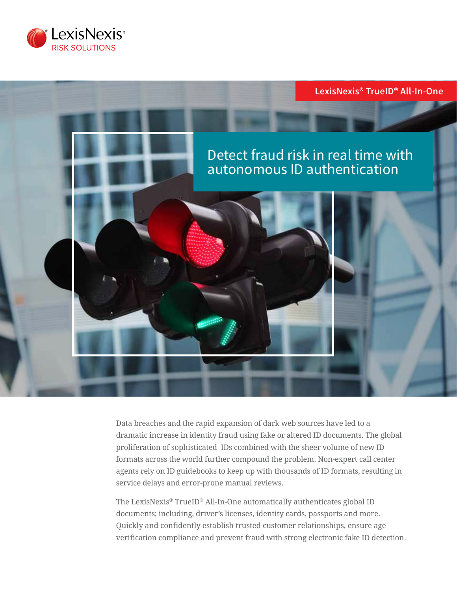



Data breaches and the rapid expansion of dark web sources have led to a dramatic increase in identity fraud using fake or altered ID documents. The global proliferation of sophisticated IDs combined with the sheer volume of new ID formats across the world further compound the problem. Non-expert call center agents rely on ID guidebooks to keep up with thousands of ID formats, resulting in service delays and error-prone manual reviews.

The LexisNexis® TrueID® All-In-One automatically authenticates global ID documents; including, driver's licenses, identity cards, passports and more. Quickly and confidently establish trusted customer relationships, ensure age verification compliance and prevent fraud with strong electronic fake ID detection.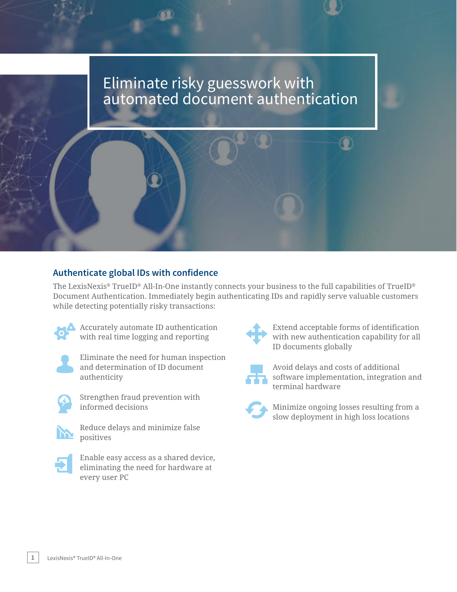# Eliminate risky guesswork with automated document authentication

# **Authenticate global IDs with confidence**

The LexisNexis® TrueID® All-In-One instantly connects your business to the full capabilities of TrueID® Document Authentication. Immediately begin authenticating IDs and rapidly serve valuable customers while detecting potentially risky transactions:



 Accurately automate ID authentication with real time logging and reporting



 Eliminate the need for human inspection and determination of ID document authenticity



 Strengthen fraud prevention with informed decisions



 Reduce delays and minimize false positives



 Enable easy access as a shared device, eliminating the need for hardware at every user PC



 Extend acceptable forms of identification with new authentication capability for all ID documents globally



 Avoid delays and costs of additional software implementation, integration and terminal hardware



 Minimize ongoing losses resulting from a slow deployment in high loss locations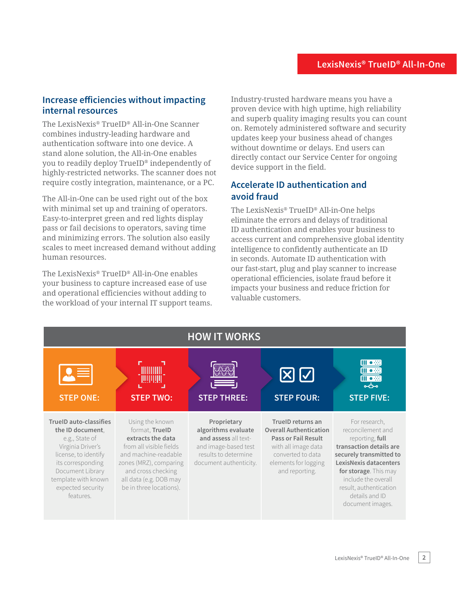### **Increase efficiencies without impacting internal resources**

The LexisNexis® TrueID® All-in-One Scanner combines industry-leading hardware and authentication software into one device. A stand alone solution, the All-in-One enables you to readily deploy TrueID® independently of highly-restricted networks. The scanner does not require costly integration, maintenance, or a PC.

The All-in-One can be used right out of the box with minimal set up and training of operators. Easy-to-interpret green and red lights display pass or fail decisions to operators, saving time and minimizing errors. The solution also easily scales to meet increased demand without adding human resources.

The LexisNexis® TrueID® All-in-One enables your business to capture increased ease of use and operational efficiencies without adding to the workload of your internal IT support teams. Industry-trusted hardware means you have a proven device with high uptime, high reliability and superb quality imaging results you can count on. Remotely administered software and security updates keep your business ahead of changes without downtime or delays. End users can directly contact our Service Center for ongoing device support in the field.

## **Accelerate ID authentication and avoid fraud**

The LexisNexis® TrueID® All-in-One helps eliminate the errors and delays of traditional ID authentication and enables your business to access current and comprehensive global identity intelligence to confidently authenticate an ID in seconds. Automate ID authentication with our fast-start, plug and play scanner to increase operational efficiencies, isolate fraud before it impacts your business and reduce friction for valuable customers.

| <b>HOW IT WORKS</b>                                                                                                                                                                                                |                                                                                                                                                                                                                |                                                                                                                                      |                                                                                                                                                                        |                                                                                                                                                                                                                                                              |
|--------------------------------------------------------------------------------------------------------------------------------------------------------------------------------------------------------------------|----------------------------------------------------------------------------------------------------------------------------------------------------------------------------------------------------------------|--------------------------------------------------------------------------------------------------------------------------------------|------------------------------------------------------------------------------------------------------------------------------------------------------------------------|--------------------------------------------------------------------------------------------------------------------------------------------------------------------------------------------------------------------------------------------------------------|
| <b>STEP ONE:</b>                                                                                                                                                                                                   | <b>STEP TWO:</b>                                                                                                                                                                                               | <b>STEP THREE:</b>                                                                                                                   | $\boxtimes$ $\boxtimes$<br><b>STEP FOUR:</b>                                                                                                                           | Dŵ<br>Ⅲ ●※<br>ംകം<br><b>STEP FIVE:</b>                                                                                                                                                                                                                       |
| <b>TrueID auto-classifies</b><br>the ID document,<br>e.g., State of<br>Virginia Driver's<br>license, to identify<br>its corresponding<br>Document Library<br>template with known<br>expected security<br>features. | Using the known<br>format, TrueID<br>extracts the data<br>from all visible fields<br>and machine-readable<br>zones (MRZ), comparing<br>and cross checking<br>all data (e.g. DOB may<br>be in three locations). | Proprietary<br>algorithms evaluate<br>and assess all text-<br>and image-based test<br>results to determine<br>document authenticity. | TrueID returns an<br><b>Overall Authentication</b><br><b>Pass or Fail Result</b><br>with all image data<br>converted to data<br>elements for logging<br>and reporting. | For research,<br>reconcilement and<br>reporting, full<br>transaction details are<br>securely transmitted to<br><b>LexisNexis datacenters</b><br>for storage. This may<br>include the overall<br>result, authentication<br>details and ID<br>document images. |